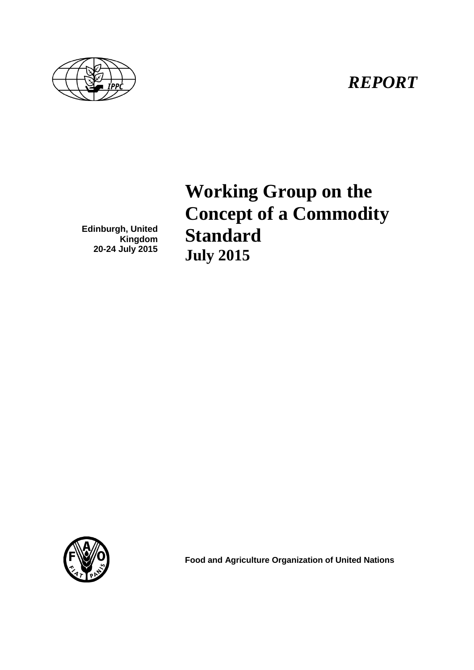



**Edinburgh, United** 

**20-24 July 2015**

**Kingdom**

**Working Group on the Concept of a Commodity Standard July 2015**



**Food and Agriculture Organization of United Nations**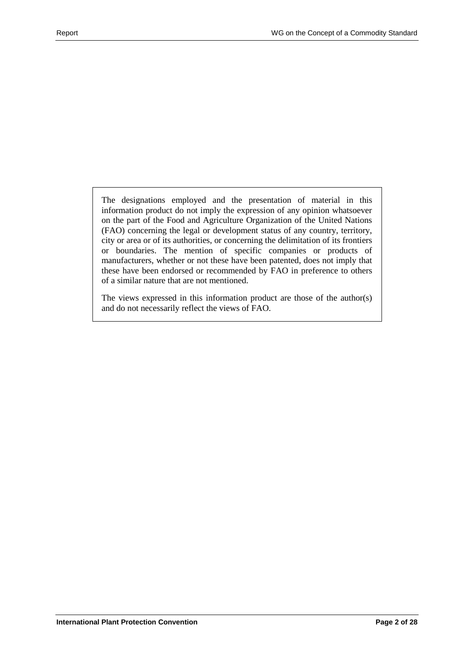The designations employed and the presentation of material in this information product do not imply the expression of any opinion whatsoever on the part of the Food and Agriculture Organization of the United Nations (FAO) concerning the legal or development status of any country, territory, city or area or of its authorities, or concerning the delimitation of its frontiers or boundaries. The mention of specific companies or products of manufacturers, whether or not these have been patented, does not imply that these have been endorsed or recommended by FAO in preference to others of a similar nature that are not mentioned.

The views expressed in this information product are those of the author(s) and do not necessarily reflect the views of FAO.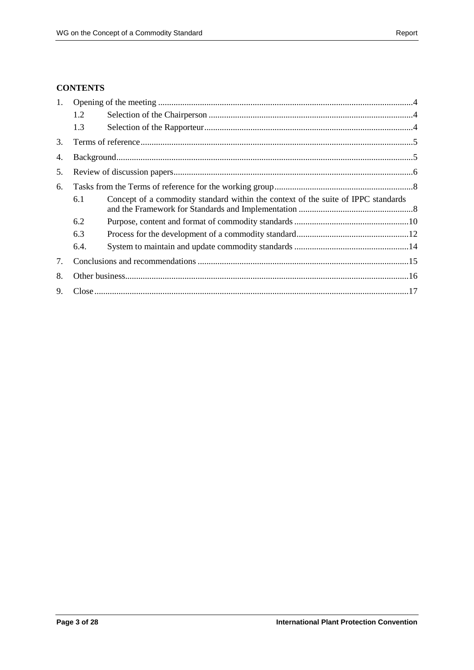### **CONTENTS**

| 1. |                                                                                          |  |  |
|----|------------------------------------------------------------------------------------------|--|--|
|    | 1.2                                                                                      |  |  |
|    | 1.3                                                                                      |  |  |
| 3. |                                                                                          |  |  |
| 4. |                                                                                          |  |  |
| 5. |                                                                                          |  |  |
| 6. |                                                                                          |  |  |
|    | Concept of a commodity standard within the context of the suite of IPPC standards<br>6.1 |  |  |
|    | 6.2                                                                                      |  |  |
|    | 6.3                                                                                      |  |  |
|    | 6.4.                                                                                     |  |  |
| 7. |                                                                                          |  |  |
| 8. |                                                                                          |  |  |
| 9. |                                                                                          |  |  |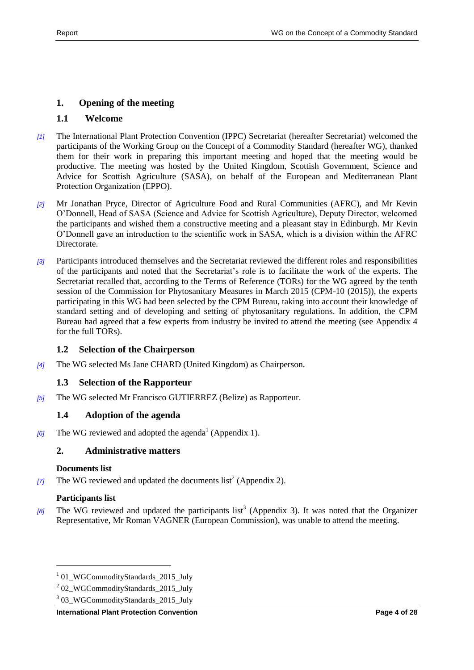## <span id="page-3-0"></span>**1. Opening of the meeting**

## **1.1 Welcome**

- *[1]* The International Plant Protection Convention (IPPC) Secretariat (hereafter Secretariat) welcomed the participants of the Working Group on the Concept of a Commodity Standard (hereafter WG), thanked them for their work in preparing this important meeting and hoped that the meeting would be productive. The meeting was hosted by the United Kingdom, Scottish Government, Science and Advice for Scottish Agriculture (SASA), on behalf of the European and Mediterranean Plant Protection Organization (EPPO).
- *[2]* Mr Jonathan Pryce, Director of Agriculture Food and Rural Communities (AFRC), and Mr Kevin O'Donnell, Head of SASA (Science and Advice for Scottish Agriculture), Deputy Director, welcomed the participants and wished them a constructive meeting and a pleasant stay in Edinburgh. Mr Kevin O'Donnell gave an introduction to the scientific work in SASA, which is a division within the AFRC Directorate.
- *[3]* Participants introduced themselves and the Secretariat reviewed the different roles and responsibilities of the participants and noted that the Secretariat's role is to facilitate the work of the experts. The Secretariat recalled that, according to the Terms of Reference (TORs) for the WG agreed by the tenth session of the Commission for Phytosanitary Measures in March 2015 (CPM-10 (2015)), the experts participating in this WG had been selected by the CPM Bureau, taking into account their knowledge of standard setting and of developing and setting of phytosanitary regulations. In addition, the CPM Bureau had agreed that a few experts from industry be invited to attend the meeting (see Appendix 4 for the full TORs).

### <span id="page-3-1"></span>**1.2 Selection of the Chairperson**

*[4]* The WG selected Ms Jane CHARD (United Kingdom) as Chairperson.

## <span id="page-3-2"></span>**1.3 Selection of the Rapporteur**

*[5]* The WG selected Mr Francisco GUTIERREZ (Belize) as Rapporteur.

### **1.4 Adoption of the agenda**

*[6]* The WG reviewed and adopted the agenda<sup>1</sup> (Appendix 1).

## **2. Administrative matters**

#### **Documents list**

[7] The WG reviewed and updated the documents  $list^2$  (Appendix 2).

## **Participants list**

l

[8] The WG reviewed and updated the participants list<sup>3</sup> (Appendix 3). It was noted that the Organizer Representative, Mr Roman VAGNER (European Commission), was unable to attend the meeting.

<sup>&</sup>lt;sup>1</sup> 01\_WGCommodityStandards\_2015\_July

<sup>&</sup>lt;sup>2</sup> 02\_WGCommodityStandards\_2015\_July

<sup>&</sup>lt;sup>3</sup> 03\_WGCommodityStandards\_2015\_July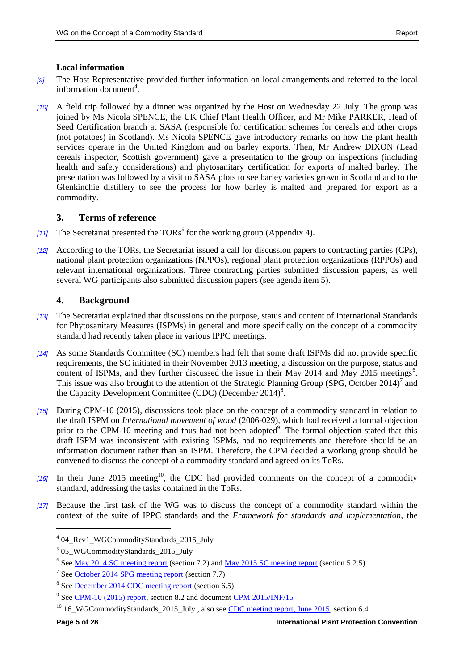#### **Local information**

- *[9]* The Host Representative provided further information on local arrangements and referred to the local information document<sup>4</sup>.
- *[10]* A field trip followed by a dinner was organized by the Host on Wednesday 22 July. The group was joined by Ms Nicola SPENCE, the UK Chief Plant Health Officer, and Mr Mike PARKER, Head of Seed Certification branch at SASA (responsible for certification schemes for cereals and other crops (not potatoes) in Scotland). Ms Nicola SPENCE gave introductory remarks on how the plant health services operate in the United Kingdom and on barley exports. Then, Mr Andrew DIXON (Lead cereals inspector, Scottish government) gave a presentation to the group on inspections (including health and safety considerations) and phytosanitary certification for exports of malted barley. The presentation was followed by a visit to SASA plots to see barley varieties grown in Scotland and to the Glenkinchie distillery to see the process for how barley is malted and prepared for export as a commodity.

## <span id="page-4-0"></span>**3. Terms of reference**

- [11] The Secretariat presented the TORs<sup>5</sup> for the working group (Appendix 4).
- *[12]* According to the TORs, the Secretariat issued a call for discussion papers to contracting parties (CPs), national plant protection organizations (NPPOs), regional plant protection organizations (RPPOs) and relevant international organizations. Three contracting parties submitted discussion papers, as well several WG participants also submitted discussion papers (see agenda item 5).

## <span id="page-4-1"></span>**4. Background**

- *[13]* The Secretariat explained that discussions on the purpose, status and content of International Standards for Phytosanitary Measures (ISPMs) in general and more specifically on the concept of a commodity standard had recently taken place in various IPPC meetings.
- *[14]* As some Standards Committee (SC) members had felt that some draft ISPMs did not provide specific requirements, the SC initiated in their November 2013 meeting, a discussion on the purpose, status and content of ISPMs, and they further discussed the issue in their May 2014 and May 2015 meetings<sup>6</sup>. This issue was also brought to the attention of the Strategic Planning Group (SPG, October 2014)<sup>7</sup> and the Capacity Development Committee (CDC) (December 2014)<sup>8</sup>.
- *[15]* During CPM-10 (2015), discussions took place on the concept of a commodity standard in relation to the draft ISPM on *International movement of wood* (2006-029), which had received a formal objection prior to the CPM-10 meeting and thus had not been adopted<sup>9</sup>. The formal objection stated that this draft ISPM was inconsistent with existing ISPMs, had no requirements and therefore should be an information document rather than an ISPM. Therefore, the CPM decided a working group should be convened to discuss the concept of a commodity standard and agreed on its ToRs.
- [16] In their June 2015 meeting<sup>10</sup>, the CDC had provided comments on the concept of a commodity standard, addressing the tasks contained in the ToRs.
- *[17]* Because the first task of the WG was to discuss the concept of a commodity standard within the context of the suite of IPPC standards and the *Framework for standards and implementation*, the

<sup>4</sup> 04\_Rev1\_WGCommodityStandards\_2015\_July

<sup>&</sup>lt;sup>5</sup> 05\_WGCommodityStandards\_2015\_July

<sup>&</sup>lt;sup>6</sup> See <u>May 2014 SC meeting report</u> (section 7.2) and <u>May 2015 SC meeting report</u> (section 5.2.5)

<sup>&</sup>lt;sup>7</sup> See <u>October 2014 SPG meeting report</u> (section 7.7)

<sup>&</sup>lt;sup>8</sup> See **December 2014 CDC** meeting report (section 6.5)

<sup>&</sup>lt;sup>9</sup> Se[e CPM-10 \(2015\) report,](https://www.ippc.int/en/publications/81242/) section 8.2 and document [CPM 2015/INF/15](https://www.ippc.int/static/media/files/publication/en/2015/03/CPM_2015_INF_15_Formal_objections_2015-03-03.pdf)

<sup>&</sup>lt;sup>10</sup> 16\_WGCommodityStandards\_2015\_July, also see [CDC meeting report, June 2015,](https://www.ippc.int/en/publications/81194/) section 6.4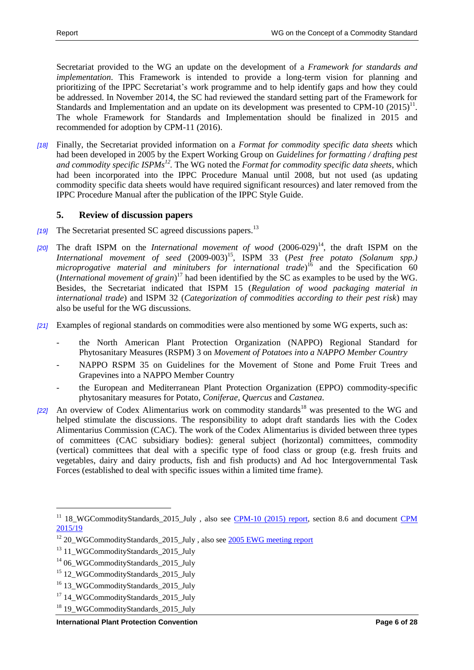Secretariat provided to the WG an update on the development of a *Framework for standards and implementation*. This Framework is intended to provide a long-term vision for planning and prioritizing of the IPPC Secretariat's work programme and to help identify gaps and how they could be addressed. In November 2014, the SC had reviewed the standard setting part of the Framework for Standards and Implementation and an update on its development was presented to CPM-10  $(2015)^{11}$ . The whole Framework for Standards and Implementation should be finalized in 2015 and recommended for adoption by CPM-11 (2016).

*[18]* Finally, the Secretariat provided information on a *Format for commodity specific data sheets* which had been developed in 2005 by the Expert Working Group on *Guidelines for formatting / drafting pest and commodity specific ISPMs<sup>12</sup> .* The WG noted the *Format for commodity specific data sheets*, which had been incorporated into the IPPC Procedure Manual until 2008, but not used (as updating commodity specific data sheets would have required significant resources) and later removed from the IPPC Procedure Manual after the publication of the IPPC Style Guide.

## <span id="page-5-0"></span>**5. Review of discussion papers**

- *[19]* The Secretariat presented SC agreed discussions papers. 13
- [20] The draft ISPM on the *International movement of wood*  $(2006-029)^{14}$ , the draft ISPM on the International movement of seed  $(2009-003)^{15}$ , ISPM 33 (*Pest free potato (Solanum spp.) microprogative material and minitubers for international trade*) <sup>16</sup> and the Specification 60 (*International movement of grain*) <sup>17</sup> had been identified by the SC as examples to be used by the WG. Besides, the Secretariat indicated that ISPM 15 (*Regulation of wood packaging material in international trade*) and ISPM 32 (*Categorization of commodities according to their pest risk*) may also be useful for the WG discussions.
- *[21]* Examples of regional standards on commodities were also mentioned by some WG experts, such as:
	- the North American Plant Protection Organization (NAPPO) Regional Standard for Phytosanitary Measures (RSPM) 3 on *Movement of Potatoes into a NAPPO Member Country*
	- NAPPO RSPM 35 on Guidelines for the Movement of Stone and Pome Fruit Trees and Grapevines into a NAPPO Member Country
	- the European and Mediterranean Plant Protection Organization (EPPO) commodity-specific phytosanitary measures for Potato, *Coniferae, Quercus* and *Castanea*.
- [22] An overview of Codex Alimentarius work on commodity standards<sup>18</sup> was presented to the WG and helped stimulate the discussions. The responsibility to adopt draft standards lies with the Codex Alimentarius Commission (CAC). The work of the Codex Alimentarius is divided between three types of committees (CAC subsidiary bodies): general subject (horizontal) committees, commodity (vertical) committees that deal with a specific type of food class or group (e.g. fresh fruits and vegetables, dairy and dairy products, fish and fish products) and Ad hoc Intergovernmental Task Forces (established to deal with specific issues within a limited time frame).

<sup>&</sup>lt;sup>11</sup> 18 WGCommodityStandards\_2015\_July , also see [CPM-10 \(2015\) report,](https://www.ippc.int/en/publications/81242/) section 8.6 and document CPM [2015/19](https://www.ippc.int/en/publications/8022/)

<sup>&</sup>lt;sup>12</sup> 20\_WGCommodityStandards\_2015\_July, also see [2005 EWG meeting report](https://www.ippc.int/en/publications/1136/)

<sup>&</sup>lt;sup>13</sup> 11\_WGCommodityStandards\_2015\_July

<sup>&</sup>lt;sup>14</sup> 06 WGCommodityStandards 2015 July

<sup>&</sup>lt;sup>15</sup> 12 WGCommodityStandards 2015 July

<sup>&</sup>lt;sup>16</sup> 13 WGCommodityStandards 2015 July

<sup>&</sup>lt;sup>17</sup> 14 WGCommodityStandards 2015 July

<sup>&</sup>lt;sup>18</sup> 19\_WGCommodityStandards\_2015\_July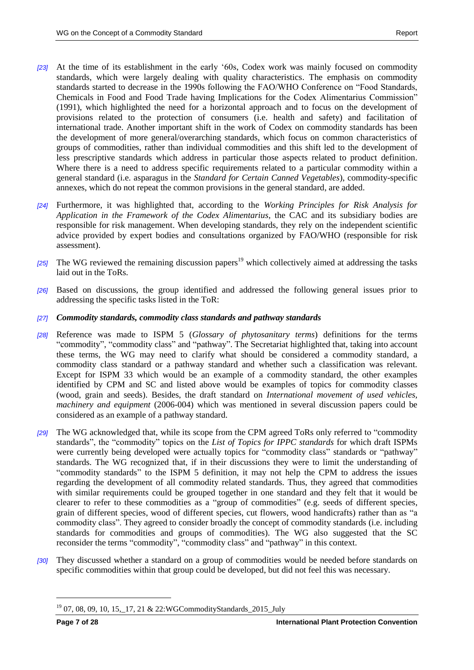- *[23]* At the time of its establishment in the early '60s, Codex work was mainly focused on commodity standards, which were largely dealing with quality characteristics. The emphasis on commodity standards started to decrease in the 1990s following the FAO/WHO Conference on "Food Standards, Chemicals in Food and Food Trade having Implications for the Codex Alimentarius Commission" (1991), which highlighted the need for a horizontal approach and to focus on the development of provisions related to the protection of consumers (i.e. health and safety) and facilitation of international trade. Another important shift in the work of Codex on commodity standards has been the development of more general/overarching standards, which focus on common characteristics of groups of commodities, rather than individual commodities and this shift led to the development of less prescriptive standards which address in particular those aspects related to product definition. Where there is a need to address specific requirements related to a particular commodity within a general standard (i.e. asparagus in the *Standard for Certain Canned Vegetables*), commodity-specific annexes, which do not repeat the common provisions in the general standard, are added.
- *[24]* Furthermore, it was highlighted that, according to the *Working Principles for Risk Analysis for Application in the Framework of the Codex Alimentarius*, the CAC and its subsidiary bodies are responsible for risk management. When developing standards, they rely on the independent scientific advice provided by expert bodies and consultations organized by FAO/WHO (responsible for risk assessment).
- $[25]$  The WG reviewed the remaining discussion papers<sup>19</sup> which collectively aimed at addressing the tasks laid out in the ToRs.
- *[26]* Based on discussions, the group identified and addressed the following general issues prior to addressing the specific tasks listed in the ToR:

### *[27] Commodity standards, commodity class standards and pathway standards*

- *[28]* Reference was made to ISPM 5 (*Glossary of phytosanitary terms*) definitions for the terms "commodity", "commodity class" and "pathway". The Secretariat highlighted that, taking into account these terms, the WG may need to clarify what should be considered a commodity standard, a commodity class standard or a pathway standard and whether such a classification was relevant. Except for ISPM 33 which would be an example of a commodity standard, the other examples identified by CPM and SC and listed above would be examples of topics for commodity classes (wood, grain and seeds). Besides, the draft standard on *International movement of used vehicles, machinery and equipment* (2006-004) which was mentioned in several discussion papers could be considered as an example of a pathway standard.
- *[29]* The WG acknowledged that, while its scope from the CPM agreed ToRs only referred to "commodity standards", the "commodity" topics on the *List of Topics for IPPC standards* for which draft ISPMs were currently being developed were actually topics for "commodity class" standards or "pathway" standards. The WG recognized that, if in their discussions they were to limit the understanding of "commodity standards" to the ISPM 5 definition, it may not help the CPM to address the issues regarding the development of all commodity related standards. Thus, they agreed that commodities with similar requirements could be grouped together in one standard and they felt that it would be clearer to refer to these commodities as a "group of commodities" (e.g. seeds of different species, grain of different species, wood of different species, cut flowers, wood handicrafts) rather than as "a commodity class". They agreed to consider broadly the concept of commodity standards (i.e. including standards for commodities and groups of commodities). The WG also suggested that the SC reconsider the terms "commodity", "commodity class" and "pathway" in this context.
- *[30]* They discussed whether a standard on a group of commodities would be needed before standards on specific commodities within that group could be developed, but did not feel this was necessary.

<sup>19</sup> 07, 08, 09, 10, 15,\_17, 21 & 22:WGCommodityStandards\_2015\_July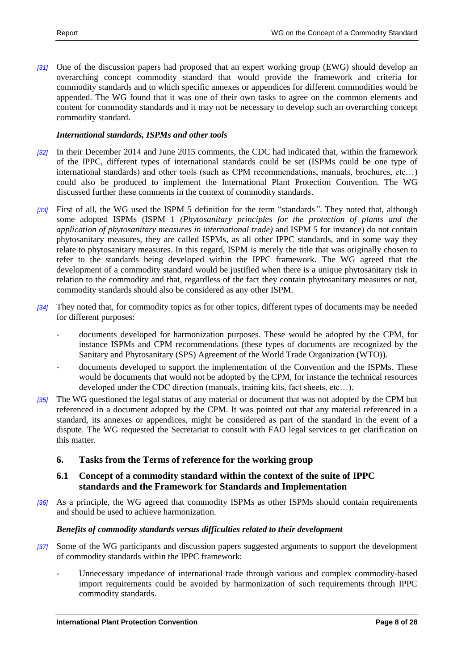*[31]* One of the discussion papers had proposed that an expert working group (EWG) should develop an overarching concept commodity standard that would provide the framework and criteria for commodity standards and to which specific annexes or appendices for different commodities would be appended. The WG found that it was one of their own tasks to agree on the common elements and content for commodity standards and it may not be necessary to develop such an overarching concept commodity standard.

#### *International standards, ISPMs and other tools*

- *[32]* In their December 2014 and June 2015 comments, the CDC had indicated that, within the framework of the IPPC, different types of international standards could be set (ISPMs could be one type of international standards) and other tools (such as CPM recommendations, manuals, brochures, etc…) could also be produced to implement the International Plant Protection Convention. The WG discussed further these comments in the context of commodity standards.
- *[33]* First of all, the WG used the ISPM 5 definition for the term "standards*"*. They noted that, although some adopted ISPMs (ISPM 1 *(Phytosanitary principles for the protection of plants and the application of phytosanitary measures in international trade)* and ISPM 5 for instance) do not contain phytosanitary measures, they are called ISPMs, as all other IPPC standards, and in some way they relate to phytosanitary measures. In this regard, ISPM is merely the title that was originally chosen to refer to the standards being developed within the IPPC framework. The WG agreed that the development of a commodity standard would be justified when there is a unique phytosanitary risk in relation to the commodity and that, regardless of the fact they contain phytosanitary measures or not, commodity standards should also be considered as any other ISPM.
- *[34]* They noted that, for commodity topics as for other topics, different types of documents may be needed for different purposes:
	- documents developed for harmonization purposes. These would be adopted by the CPM, for instance ISPMs and CPM recommendations (these types of documents are recognized by the Sanitary and Phytosanitary (SPS) Agreement of the World Trade Organization (WTO)).
	- documents developed to support the implementation of the Convention and the ISPMs. These would be documents that would not be adopted by the CPM, for instance the technical resources developed under the CDC direction (manuals, training kits, fact sheets, etc…).
- *[35]* The WG questioned the legal status of any material or document that was not adopted by the CPM but referenced in a document adopted by the CPM. It was pointed out that any material referenced in a standard, its annexes or appendices, might be considered as part of the standard in the event of a dispute. The WG requested the Secretariat to consult with FAO legal services to get clarification on this matter.

### <span id="page-7-0"></span>**6. Tasks from the Terms of reference for the working group**

### <span id="page-7-1"></span>**6.1 Concept of a commodity standard within the context of the suite of IPPC standards and the Framework for Standards and Implementation**

*[36]* As a principle, the WG agreed that commodity ISPMs as other ISPMs should contain requirements and should be used to achieve harmonization.

#### *Benefits of commodity standards versus difficulties related to their development*

- *[37]* Some of the WG participants and discussion papers suggested arguments to support the development of commodity standards within the IPPC framework:
	- Unnecessary impedance of international trade through various and complex commodity-based import requirements could be avoided by harmonization of such requirements through IPPC commodity standards.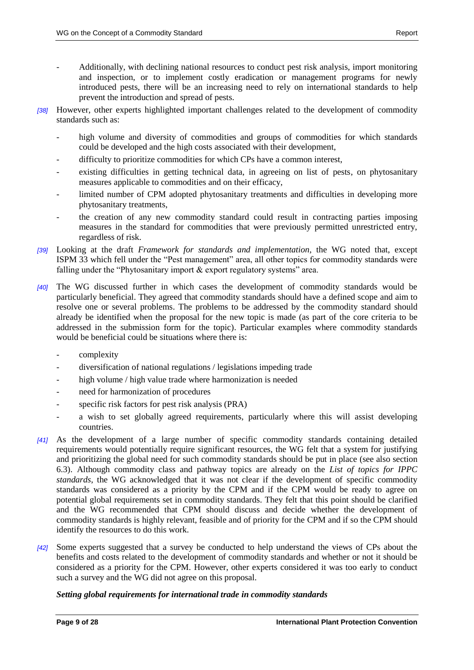- Additionally, with declining national resources to conduct pest risk analysis, import monitoring and inspection, or to implement costly eradication or management programs for newly introduced pests, there will be an increasing need to rely on international standards to help prevent the introduction and spread of pests.
- *[38]* However, other experts highlighted important challenges related to the development of commodity standards such as:
	- high volume and diversity of commodities and groups of commodities for which standards could be developed and the high costs associated with their development,
	- difficulty to prioritize commodities for which CPs have a common interest,
	- existing difficulties in getting technical data, in agreeing on list of pests, on phytosanitary measures applicable to commodities and on their efficacy,
	- limited number of CPM adopted phytosanitary treatments and difficulties in developing more phytosanitary treatments,
	- the creation of any new commodity standard could result in contracting parties imposing measures in the standard for commodities that were previously permitted unrestricted entry, regardless of risk.
- *[39]* Looking at the draft *Framework for standards and implementation*, the WG noted that, except ISPM 33 which fell under the "Pest management" area, all other topics for commodity standards were falling under the "Phytosanitary import & export regulatory systems" area.
- *[40]* The WG discussed further in which cases the development of commodity standards would be particularly beneficial. They agreed that commodity standards should have a defined scope and aim to resolve one or several problems. The problems to be addressed by the commodity standard should already be identified when the proposal for the new topic is made (as part of the core criteria to be addressed in the submission form for the topic). Particular examples where commodity standards would be beneficial could be situations where there is:
	- complexity
	- diversification of national regulations / legislations impeding trade
	- high volume / high value trade where harmonization is needed
	- need for harmonization of procedures
	- specific risk factors for pest risk analysis (PRA)
	- a wish to set globally agreed requirements, particularly where this will assist developing countries.
- *[41]* As the development of a large number of specific commodity standards containing detailed requirements would potentially require significant resources, the WG felt that a system for justifying and prioritizing the global need for such commodity standards should be put in place (see also section 6.3). Although commodity class and pathway topics are already on the *List of topics for IPPC standards*, the WG acknowledged that it was not clear if the development of specific commodity standards was considered as a priority by the CPM and if the CPM would be ready to agree on potential global requirements set in commodity standards. They felt that this point should be clarified and the WG recommended that CPM should discuss and decide whether the development of commodity standards is highly relevant, feasible and of priority for the CPM and if so the CPM should identify the resources to do this work.
- *[42]* Some experts suggested that a survey be conducted to help understand the views of CPs about the benefits and costs related to the development of commodity standards and whether or not it should be considered as a priority for the CPM. However, other experts considered it was too early to conduct such a survey and the WG did not agree on this proposal.

### *Setting global requirements for international trade in commodity standards*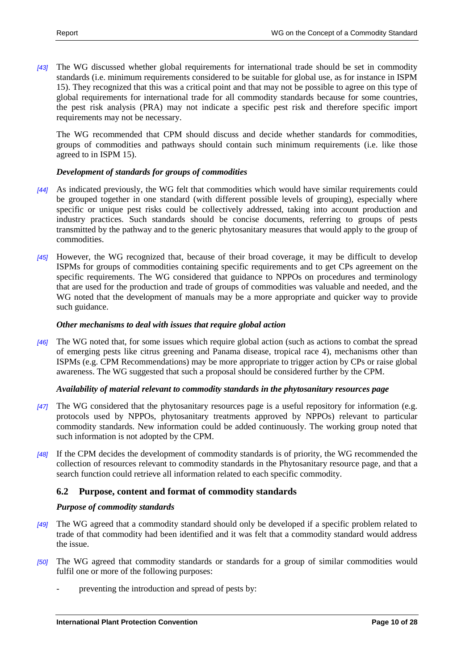*[43]* The WG discussed whether global requirements for international trade should be set in commodity standards (i.e. minimum requirements considered to be suitable for global use, as for instance in ISPM 15). They recognized that this was a critical point and that may not be possible to agree on this type of global requirements for international trade for all commodity standards because for some countries, the pest risk analysis (PRA) may not indicate a specific pest risk and therefore specific import requirements may not be necessary.

The WG recommended that CPM should discuss and decide whether standards for commodities, groups of commodities and pathways should contain such minimum requirements (i.e. like those agreed to in ISPM 15).

### *Development of standards for groups of commodities*

- *[44]* As indicated previously, the WG felt that commodities which would have similar requirements could be grouped together in one standard (with different possible levels of grouping), especially where specific or unique pest risks could be collectively addressed, taking into account production and industry practices. Such standards should be concise documents, referring to groups of pests transmitted by the pathway and to the generic phytosanitary measures that would apply to the group of commodities.
- *[45]* However, the WG recognized that, because of their broad coverage, it may be difficult to develop ISPMs for groups of commodities containing specific requirements and to get CPs agreement on the specific requirements. The WG considered that guidance to NPPOs on procedures and terminology that are used for the production and trade of groups of commodities was valuable and needed, and the WG noted that the development of manuals may be a more appropriate and quicker way to provide such guidance.

### *Other mechanisms to deal with issues that require global action*

*[46]* The WG noted that, for some issues which require global action (such as actions to combat the spread of emerging pests like citrus greening and Panama disease, tropical race 4), mechanisms other than ISPMs (e.g. CPM Recommendations) may be more appropriate to trigger action by CPs or raise global awareness. The WG suggested that such a proposal should be considered further by the CPM.

#### *Availability of material relevant to commodity standards in the phytosanitary resources page*

- *[47]* The WG considered that the phytosanitary resources page is a useful repository for information (e.g. protocols used by NPPOs, phytosanitary treatments approved by NPPOs) relevant to particular commodity standards. New information could be added continuously. The working group noted that such information is not adopted by the CPM.
- *[48]* If the CPM decides the development of commodity standards is of priority, the WG recommended the collection of resources relevant to commodity standards in the Phytosanitary resource page, and that a search function could retrieve all information related to each specific commodity.

### <span id="page-9-0"></span>**6.2 Purpose, content and format of commodity standards**

#### *Purpose of commodity standards*

- *[49]* The WG agreed that a commodity standard should only be developed if a specific problem related to trade of that commodity had been identified and it was felt that a commodity standard would address the issue.
- *[50]* The WG agreed that commodity standards or standards for a group of similar commodities would fulfil one or more of the following purposes:
	- preventing the introduction and spread of pests by: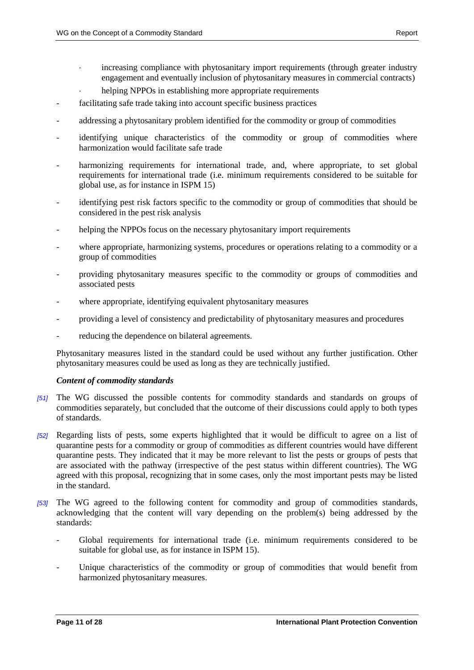- increasing compliance with phytosanitary import requirements (through greater industry engagement and eventually inclusion of phytosanitary measures in commercial contracts)
- helping NPPOs in establishing more appropriate requirements
- facilitating safe trade taking into account specific business practices
- addressing a phytosanitary problem identified for the commodity or group of commodities
- identifying unique characteristics of the commodity or group of commodities where harmonization would facilitate safe trade
- harmonizing requirements for international trade, and, where appropriate, to set global requirements for international trade (i.e. minimum requirements considered to be suitable for global use, as for instance in ISPM 15)
- identifying pest risk factors specific to the commodity or group of commodities that should be considered in the pest risk analysis
- helping the NPPOs focus on the necessary phytosanitary import requirements
- where appropriate, harmonizing systems, procedures or operations relating to a commodity or a group of commodities
- providing phytosanitary measures specific to the commodity or groups of commodities and associated pests
- where appropriate, identifying equivalent phytosanitary measures
- providing a level of consistency and predictability of phytosanitary measures and procedures
- reducing the dependence on bilateral agreements.

Phytosanitary measures listed in the standard could be used without any further justification. Other phytosanitary measures could be used as long as they are technically justified.

#### *Content of commodity standards*

- *[51]* The WG discussed the possible contents for commodity standards and standards on groups of commodities separately, but concluded that the outcome of their discussions could apply to both types of standards.
- *[52]* Regarding lists of pests, some experts highlighted that it would be difficult to agree on a list of quarantine pests for a commodity or group of commodities as different countries would have different quarantine pests. They indicated that it may be more relevant to list the pests or groups of pests that are associated with the pathway (irrespective of the pest status within different countries). The WG agreed with this proposal, recognizing that in some cases, only the most important pests may be listed in the standard.
- *[53]* The WG agreed to the following content for commodity and group of commodities standards, acknowledging that the content will vary depending on the problem(s) being addressed by the standards:
	- Global requirements for international trade (i.e. minimum requirements considered to be suitable for global use, as for instance in ISPM 15).
	- Unique characteristics of the commodity or group of commodities that would benefit from harmonized phytosanitary measures.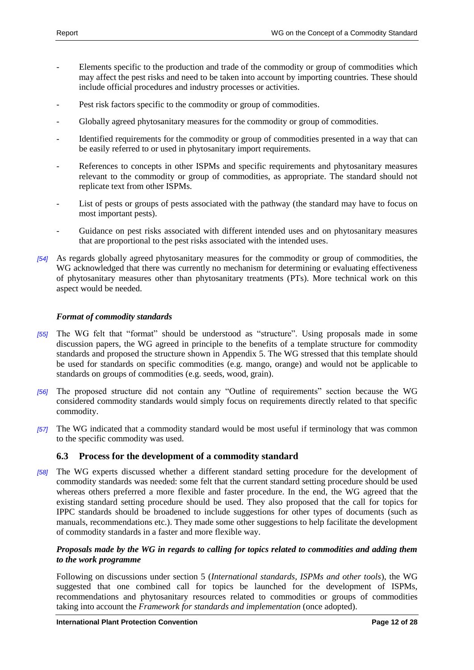- Elements specific to the production and trade of the commodity or group of commodities which may affect the pest risks and need to be taken into account by importing countries. These should include official procedures and industry processes or activities.
- Pest risk factors specific to the commodity or group of commodities.
- Globally agreed phytosanitary measures for the commodity or group of commodities.
- Identified requirements for the commodity or group of commodities presented in a way that can be easily referred to or used in phytosanitary import requirements.
- References to concepts in other ISPMs and specific requirements and phytosanitary measures relevant to the commodity or group of commodities, as appropriate. The standard should not replicate text from other ISPMs.
- List of pests or groups of pests associated with the pathway (the standard may have to focus on most important pests).
- Guidance on pest risks associated with different intended uses and on phytosanitary measures that are proportional to the pest risks associated with the intended uses.
- *[54]* As regards globally agreed phytosanitary measures for the commodity or group of commodities, the WG acknowledged that there was currently no mechanism for determining or evaluating effectiveness of phytosanitary measures other than phytosanitary treatments (PTs). More technical work on this aspect would be needed.

#### *Format of commodity standards*

- *[55]* The WG felt that "format" should be understood as "structure". Using proposals made in some discussion papers, the WG agreed in principle to the benefits of a template structure for commodity standards and proposed the structure shown in Appendix 5. The WG stressed that this template should be used for standards on specific commodities (e.g. mango, orange) and would not be applicable to standards on groups of commodities (e.g. seeds, wood, grain).
- *[56]* The proposed structure did not contain any "Outline of requirements" section because the WG considered commodity standards would simply focus on requirements directly related to that specific commodity.
- *[57]* The WG indicated that a commodity standard would be most useful if terminology that was common to the specific commodity was used.

### <span id="page-11-0"></span>**6.3 Process for the development of a commodity standard**

*[58]* The WG experts discussed whether a different standard setting procedure for the development of commodity standards was needed: some felt that the current standard setting procedure should be used whereas others preferred a more flexible and faster procedure. In the end, the WG agreed that the existing standard setting procedure should be used. They also proposed that the call for topics for IPPC standards should be broadened to include suggestions for other types of documents (such as manuals, recommendations etc.). They made some other suggestions to help facilitate the development of commodity standards in a faster and more flexible way.

### *Proposals made by the WG in regards to calling for topics related to commodities and adding them to the work programme*

Following on discussions under section 5 (*International standards, ISPMs and other tools*), the WG suggested that one combined call for topics be launched for the development of ISPMs, recommendations and phytosanitary resources related to commodities or groups of commodities taking into account the *Framework for standards and implementation* (once adopted).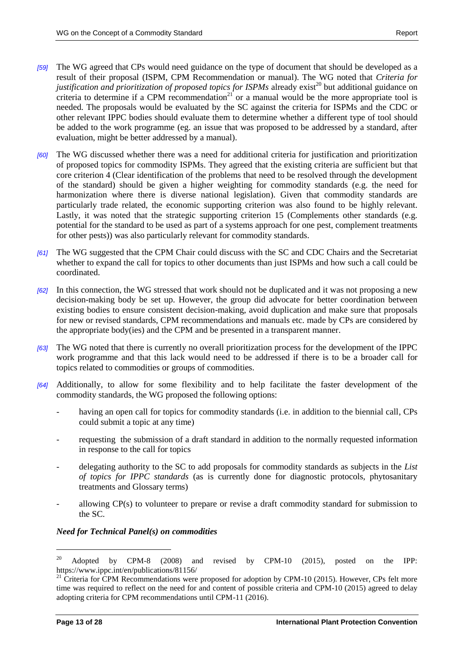- *[59]* The WG agreed that CPs would need guidance on the type of document that should be developed as a result of their proposal (ISPM, CPM Recommendation or manual). The WG noted that *Criteria for justification and prioritization of proposed topics for ISPMs* already exist<sup>20</sup> but additional guidance on criteria to determine if a CPM recommendation<sup>21</sup> or a manual would be the more appropriate tool is needed. The proposals would be evaluated by the SC against the criteria for ISPMs and the CDC or other relevant IPPC bodies should evaluate them to determine whether a different type of tool should be added to the work programme (eg. an issue that was proposed to be addressed by a standard, after evaluation, might be better addressed by a manual).
- *[60]* The WG discussed whether there was a need for additional criteria for justification and prioritization of proposed topics for commodity ISPMs. They agreed that the existing criteria are sufficient but that core criterion 4 (Clear identification of the problems that need to be resolved through the development of the standard) should be given a higher weighting for commodity standards (e.g. the need for harmonization where there is diverse national legislation). Given that commodity standards are particularly trade related, the economic supporting criterion was also found to be highly relevant. Lastly, it was noted that the strategic supporting criterion 15 (Complements other standards (e.g. potential for the standard to be used as part of a systems approach for one pest, complement treatments for other pests)) was also particularly relevant for commodity standards.
- *[61]* The WG suggested that the CPM Chair could discuss with the SC and CDC Chairs and the Secretariat whether to expand the call for topics to other documents than just ISPMs and how such a call could be coordinated.
- *[62]* In this connection, the WG stressed that work should not be duplicated and it was not proposing a new decision-making body be set up. However, the group did advocate for better coordination between existing bodies to ensure consistent decision-making, avoid duplication and make sure that proposals for new or revised standards, CPM recommendations and manuals etc. made by CPs are considered by the appropriate body(ies) and the CPM and be presented in a transparent manner.
- *[63]* The WG noted that there is currently no overall prioritization process for the development of the IPPC work programme and that this lack would need to be addressed if there is to be a broader call for topics related to commodities or groups of commodities.
- *[64]* Additionally, to allow for some flexibility and to help facilitate the faster development of the commodity standards, the WG proposed the following options:
	- having an open call for topics for commodity standards (i.e. in addition to the biennial call, CPs could submit a topic at any time)
	- requesting the submission of a draft standard in addition to the normally requested information in response to the call for topics
	- delegating authority to the SC to add proposals for commodity standards as subjects in the *List of topics for IPPC standards* (as is currently done for diagnostic protocols, phytosanitary treatments and Glossary terms)
	- allowing CP(s) to volunteer to prepare or revise a draft commodity standard for submission to the SC.

### *Need for Technical Panel(s) on commodities*

l

 $20$  Adopted by CPM-8 (2008) and revised by CPM-10 (2015), posted on the IPP: https://www.ippc.int/en/publications/81156/

<sup>&</sup>lt;sup>21</sup> Criteria for CPM Recommendations were proposed for adoption by CPM-10 (2015). However, CPs felt more time was required to reflect on the need for and content of possible criteria and CPM-10 (2015) agreed to delay adopting criteria for CPM recommendations until CPM-11 (2016).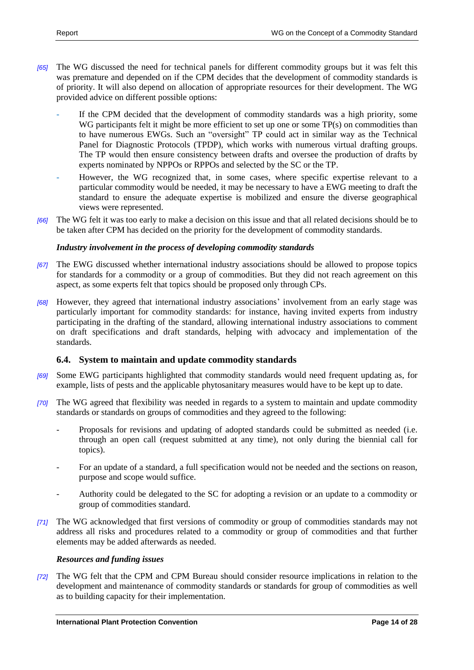- *[65]* The WG discussed the need for technical panels for different commodity groups but it was felt this was premature and depended on if the CPM decides that the development of commodity standards is of priority. It will also depend on allocation of appropriate resources for their development. The WG provided advice on different possible options:
	- If the CPM decided that the development of commodity standards was a high priority, some WG participants felt it might be more efficient to set up one or some TP(s) on commodities than to have numerous EWGs. Such an "oversight" TP could act in similar way as the Technical Panel for Diagnostic Protocols (TPDP), which works with numerous virtual drafting groups. The TP would then ensure consistency between drafts and oversee the production of drafts by experts nominated by NPPOs or RPPOs and selected by the SC or the TP.
	- However, the WG recognized that, in some cases, where specific expertise relevant to a particular commodity would be needed, it may be necessary to have a EWG meeting to draft the standard to ensure the adequate expertise is mobilized and ensure the diverse geographical views were represented.
- *[66]* The WG felt it was too early to make a decision on this issue and that all related decisions should be to be taken after CPM has decided on the priority for the development of commodity standards.

### *Industry involvement in the process of developing commodity standards*

- *[67]* The EWG discussed whether international industry associations should be allowed to propose topics for standards for a commodity or a group of commodities. But they did not reach agreement on this aspect, as some experts felt that topics should be proposed only through CPs.
- *[68]* However, they agreed that international industry associations' involvement from an early stage was particularly important for commodity standards: for instance, having invited experts from industry participating in the drafting of the standard, allowing international industry associations to comment on draft specifications and draft standards, helping with advocacy and implementation of the standards.

### <span id="page-13-0"></span>**6.4. System to maintain and update commodity standards**

- *[69]* Some EWG participants highlighted that commodity standards would need frequent updating as, for example, lists of pests and the applicable phytosanitary measures would have to be kept up to date.
- *[70]* The WG agreed that flexibility was needed in regards to a system to maintain and update commodity standards or standards on groups of commodities and they agreed to the following:
	- Proposals for revisions and updating of adopted standards could be submitted as needed (i.e. through an open call (request submitted at any time), not only during the biennial call for topics).
	- For an update of a standard, a full specification would not be needed and the sections on reason, purpose and scope would suffice.
	- Authority could be delegated to the SC for adopting a revision or an update to a commodity or group of commodities standard.
- *[71]* The WG acknowledged that first versions of commodity or group of commodities standards may not address all risks and procedures related to a commodity or group of commodities and that further elements may be added afterwards as needed.

#### *Resources and funding issues*

*[72]* The WG felt that the CPM and CPM Bureau should consider resource implications in relation to the development and maintenance of commodity standards or standards for group of commodities as well as to building capacity for their implementation.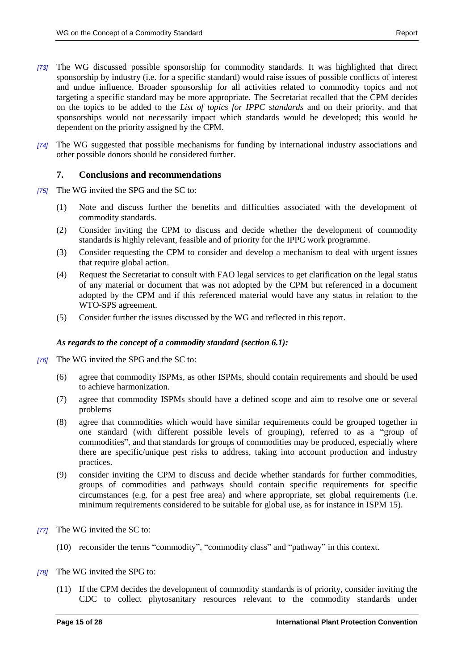- *[73]* The WG discussed possible sponsorship for commodity standards. It was highlighted that direct sponsorship by industry (i.e. for a specific standard) would raise issues of possible conflicts of interest and undue influence. Broader sponsorship for all activities related to commodity topics and not targeting a specific standard may be more appropriate. The Secretariat recalled that the CPM decides on the topics to be added to the *List of topics for IPPC standards* and on their priority, and that sponsorships would not necessarily impact which standards would be developed; this would be dependent on the priority assigned by the CPM.
- *[74]* The WG suggested that possible mechanisms for funding by international industry associations and other possible donors should be considered further.

### <span id="page-14-0"></span>**7. Conclusions and recommendations**

- *[75]* The WG invited the SPG and the SC to:
	- (1) Note and discuss further the benefits and difficulties associated with the development of commodity standards.
	- (2) Consider inviting the CPM to discuss and decide whether the development of commodity standards is highly relevant, feasible and of priority for the IPPC work programme.
	- (3) Consider requesting the CPM to consider and develop a mechanism to deal with urgent issues that require global action.
	- (4) Request the Secretariat to consult with FAO legal services to get clarification on the legal status of any material or document that was not adopted by the CPM but referenced in a document adopted by the CPM and if this referenced material would have any status in relation to the WTO-SPS agreement.
	- (5) Consider further the issues discussed by the WG and reflected in this report.

#### *As regards to the concept of a commodity standard (section 6.1):*

- *[76]* The WG invited the SPG and the SC to:
	- (6) agree that commodity ISPMs, as other ISPMs, should contain requirements and should be used to achieve harmonization.
	- (7) agree that commodity ISPMs should have a defined scope and aim to resolve one or several problems
	- (8) agree that commodities which would have similar requirements could be grouped together in one standard (with different possible levels of grouping), referred to as a "group of commodities", and that standards for groups of commodities may be produced, especially where there are specific/unique pest risks to address, taking into account production and industry practices.
	- (9) consider inviting the CPM to discuss and decide whether standards for further commodities, groups of commodities and pathways should contain specific requirements for specific circumstances (e.g. for a pest free area) and where appropriate, set global requirements (i.e. minimum requirements considered to be suitable for global use, as for instance in ISPM 15).
- *[77]* The WG invited the SC to:
	- (10) reconsider the terms "commodity", "commodity class" and "pathway" in this context.
- *[78]* The WG invited the SPG to:
	- (11) If the CPM decides the development of commodity standards is of priority, consider inviting the CDC to collect phytosanitary resources relevant to the commodity standards under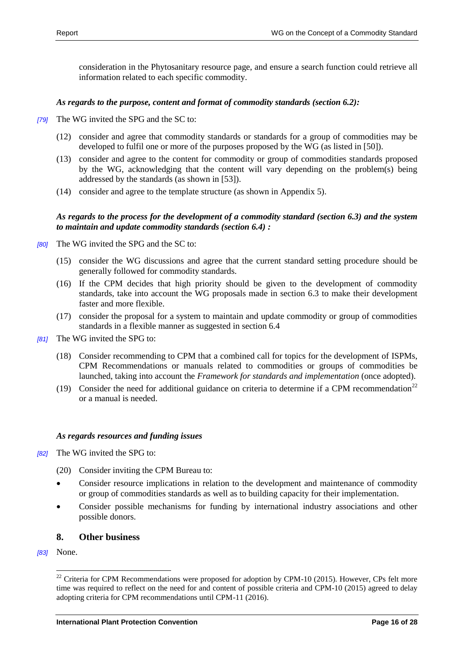consideration in the Phytosanitary resource page, and ensure a search function could retrieve all information related to each specific commodity.

### *As regards to the purpose, content and format of commodity standards (section 6.2):*

- *[79]* The WG invited the SPG and the SC to:
	- (12) consider and agree that commodity standards or standards for a group of commodities may be developed to fulfil one or more of the purposes proposed by the WG (as listed in [50]).
	- (13) consider and agree to the content for commodity or group of commodities standards proposed by the WG, acknowledging that the content will vary depending on the problem(s) being addressed by the standards (as shown in [53]).
	- (14) consider and agree to the template structure (as shown in Appendix 5).

#### *As regards to the process for the development of a commodity standard (section 6.3) and the system to maintain and update commodity standards (section 6.4) :*

- *[80]* The WG invited the SPG and the SC to:
	- (15) consider the WG discussions and agree that the current standard setting procedure should be generally followed for commodity standards.
	- (16) If the CPM decides that high priority should be given to the development of commodity standards, take into account the WG proposals made in section 6.3 to make their development faster and more flexible.
	- (17) consider the proposal for a system to maintain and update commodity or group of commodities standards in a flexible manner as suggested in section 6.4
- *[81]* The WG invited the SPG to:
	- (18) Consider recommending to CPM that a combined call for topics for the development of ISPMs, CPM Recommendations or manuals related to commodities or groups of commodities be launched, taking into account the *Framework for standards and implementation* (once adopted).
	- (19) Consider the need for additional guidance on criteria to determine if a CPM recommendation<sup>22</sup> or a manual is needed.

#### *As regards resources and funding issues*

- *[82]* The WG invited the SPG to:
	- (20) Consider inviting the CPM Bureau to:
	- Consider resource implications in relation to the development and maintenance of commodity or group of commodities standards as well as to building capacity for their implementation.
	- Consider possible mechanisms for funding by international industry associations and other possible donors.

### <span id="page-15-0"></span>**8. Other business**

*[83]* None.

 $^{22}$  Criteria for CPM Recommendations were proposed for adoption by CPM-10 (2015). However, CPs felt more time was required to reflect on the need for and content of possible criteria and CPM-10 (2015) agreed to delay adopting criteria for CPM recommendations until CPM-11 (2016).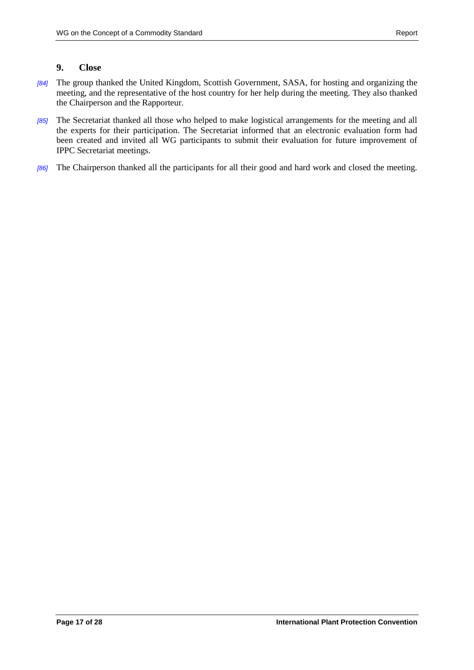## <span id="page-16-0"></span>**9. Close**

- *[84]* The group thanked the United Kingdom, Scottish Government, SASA, for hosting and organizing the meeting, and the representative of the host country for her help during the meeting. They also thanked the Chairperson and the Rapporteur.
- *[85]* The Secretariat thanked all those who helped to make logistical arrangements for the meeting and all the experts for their participation. The Secretariat informed that an electronic evaluation form had been created and invited all WG participants to submit their evaluation for future improvement of IPPC Secretariat meetings.
- *[86]* The Chairperson thanked all the participants for all their good and hard work and closed the meeting.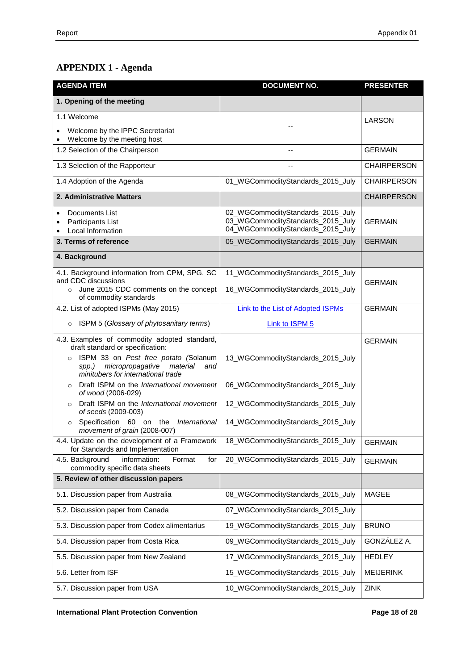# **APPENDIX 1 - Agenda**

| <b>AGENDA ITEM</b>                                                                                                                    | <b>DOCUMENT NO.</b>                                                                                         | <b>PRESENTER</b>   |
|---------------------------------------------------------------------------------------------------------------------------------------|-------------------------------------------------------------------------------------------------------------|--------------------|
| 1. Opening of the meeting                                                                                                             |                                                                                                             |                    |
| 1.1 Welcome                                                                                                                           |                                                                                                             | LARSON             |
| Welcome by the IPPC Secretariat<br>Welcome by the meeting host                                                                        |                                                                                                             |                    |
| 1.2 Selection of the Chairperson                                                                                                      |                                                                                                             | <b>GERMAIN</b>     |
| 1.3 Selection of the Rapporteur                                                                                                       |                                                                                                             | <b>CHAIRPERSON</b> |
| 1.4 Adoption of the Agenda                                                                                                            | 01_WGCommodityStandards_2015_July                                                                           | <b>CHAIRPERSON</b> |
| 2. Administrative Matters                                                                                                             |                                                                                                             | <b>CHAIRPERSON</b> |
| Documents List<br>$\bullet$<br>Participants List<br>Local Information                                                                 | 02_WGCommodityStandards_2015_July<br>03_WGCommodityStandards_2015_July<br>04_WGCommodityStandards_2015_July | <b>GERMAIN</b>     |
| 3. Terms of reference                                                                                                                 | 05_WGCommodityStandards_2015_July                                                                           | <b>GERMAIN</b>     |
| 4. Background                                                                                                                         |                                                                                                             |                    |
| 4.1. Background information from CPM, SPG, SC<br>and CDC discussions                                                                  | 11_WGCommodityStandards_2015_July                                                                           |                    |
| o June 2015 CDC comments on the concept<br>of commodity standards                                                                     | 16_WGCommodityStandards_2015_July                                                                           | <b>GERMAIN</b>     |
| 4.2. List of adopted ISPMs (May 2015)                                                                                                 | Link to the List of Adopted ISPMs                                                                           | <b>GERMAIN</b>     |
| ISPM 5 (Glossary of phytosanitary terms)<br>$\circ$                                                                                   | Link to ISPM 5                                                                                              |                    |
| 4.3. Examples of commodity adopted standard,<br>draft standard or specification:                                                      |                                                                                                             | <b>GERMAIN</b>     |
| ISPM 33 on Pest free potato (Solanum<br>$\circ$<br>micropropagative<br>material<br>spp.)<br>and<br>minitubers for international trade | 13_WGCommodityStandards_2015_July                                                                           |                    |
| Draft ISPM on the International movement<br>$\circ$<br>of wood (2006-029)                                                             | 06_WGCommodityStandards_2015_July                                                                           |                    |
| Draft ISPM on the International movement<br>$\circ$<br>of seeds (2009-003)                                                            | 12_WGCommodityStandards_2015_July                                                                           |                    |
| Specification 60 on the<br>International<br>$\circ$<br>movement of grain (2008-007)                                                   | 14_WGCommodityStandards_2015_July                                                                           |                    |
| 4.4. Update on the development of a Framework<br>for Standards and Implementation                                                     | 18_WGCommodityStandards_2015_July                                                                           | <b>GERMAIN</b>     |
| 4.5. Background<br>information:<br>Format<br>for<br>commodity specific data sheets                                                    | 20_WGCommodityStandards_2015_July                                                                           | <b>GERMAIN</b>     |
| 5. Review of other discussion papers                                                                                                  |                                                                                                             |                    |
| 5.1. Discussion paper from Australia                                                                                                  | 08_WGCommodityStandards_2015_July                                                                           | <b>MAGEE</b>       |
| 5.2. Discussion paper from Canada                                                                                                     | 07_WGCommodityStandards_2015_July                                                                           |                    |
| 5.3. Discussion paper from Codex alimentarius                                                                                         | 19_WGCommodityStandards_2015_July                                                                           | <b>BRUNO</b>       |
| 5.4. Discussion paper from Costa Rica                                                                                                 | 09_WGCommodityStandards_2015_July                                                                           | GONZÁLEZ A.        |
| 5.5. Discussion paper from New Zealand                                                                                                | 17_WGCommodityStandards_2015_July                                                                           | <b>HEDLEY</b>      |
| 5.6. Letter from ISF                                                                                                                  | 15_WGCommodityStandards_2015_July                                                                           | <b>MEIJERINK</b>   |
| 5.7. Discussion paper from USA                                                                                                        | 10_WGCommodityStandards_2015_July                                                                           | ZINK               |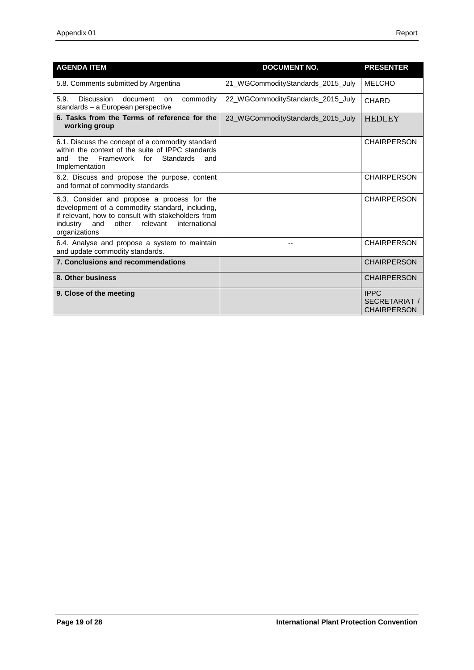| <b>AGENDA ITEM</b>                                                                                                                                                                                                             | <b>DOCUMENT NO.</b>               | <b>PRESENTER</b>                                   |
|--------------------------------------------------------------------------------------------------------------------------------------------------------------------------------------------------------------------------------|-----------------------------------|----------------------------------------------------|
| 5.8. Comments submitted by Argentina                                                                                                                                                                                           | 21_WGCommodityStandards_2015_July | <b>MELCHO</b>                                      |
| 5.9.<br>Discussion<br>commodity<br>document<br>on<br>standards - a European perspective                                                                                                                                        | 22_WGCommodityStandards_2015_July | <b>CHARD</b>                                       |
| 6. Tasks from the Terms of reference for the<br>working group                                                                                                                                                                  | 23 WGCommodityStandards 2015 July | <b>HEDLEY</b>                                      |
| 6.1. Discuss the concept of a commodity standard<br>within the context of the suite of IPPC standards<br>Framework for<br>Standards<br>the<br>and<br>and<br>Implementation                                                     |                                   | <b>CHAIRPERSON</b>                                 |
| 6.2. Discuss and propose the purpose, content<br>and format of commodity standards                                                                                                                                             |                                   | <b>CHAIRPERSON</b>                                 |
| 6.3. Consider and propose a process for the<br>development of a commodity standard, including,<br>if relevant, how to consult with stakeholders from<br>industry<br>and<br>other<br>relevant<br>international<br>organizations |                                   | <b>CHAIRPERSON</b>                                 |
| 6.4. Analyse and propose a system to maintain<br>and update commodity standards.                                                                                                                                               |                                   | <b>CHAIRPERSON</b>                                 |
| 7. Conclusions and recommendations                                                                                                                                                                                             |                                   | <b>CHAIRPERSON</b>                                 |
| 8. Other business                                                                                                                                                                                                              |                                   | <b>CHAIRPERSON</b>                                 |
| 9. Close of the meeting                                                                                                                                                                                                        |                                   | <b>IPPC</b><br>SECRETARIAT /<br><b>CHAIRPERSON</b> |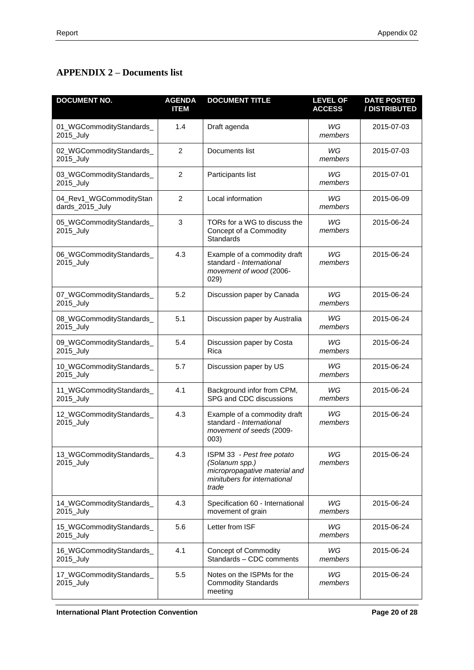# **APPENDIX 2 – Documents list**

| <b>DOCUMENT NO.</b>                        | <b>AGENDA</b><br><b>ITEM</b> | <b>DOCUMENT TITLE</b>                                                                                                  | <b>LEVEL OF</b><br><b>ACCESS</b> | <b>DATE POSTED</b><br>/ DISTRIBUTED |
|--------------------------------------------|------------------------------|------------------------------------------------------------------------------------------------------------------------|----------------------------------|-------------------------------------|
| 01_WGCommodityStandards_<br>2015_July      | 1.4                          | Draft agenda                                                                                                           | WG<br>members                    | 2015-07-03                          |
| 02_WGCommodityStandards_<br>2015_July      | $\overline{2}$               | Documents list                                                                                                         | WG<br>members                    | 2015-07-03                          |
| 03_WGCommodityStandards_<br>2015_July      | $\overline{2}$               | Participants list                                                                                                      | WG<br>members                    | 2015-07-01                          |
| 04_Rev1_WGCommodityStan<br>dards_2015_July | $\overline{2}$               | Local information                                                                                                      | WG<br>members                    | 2015-06-09                          |
| 05_WGCommodityStandards_<br>2015_July      | 3                            | TORs for a WG to discuss the<br>Concept of a Commodity<br>Standards                                                    | WG<br>members                    | 2015-06-24                          |
| 06_WGCommodityStandards_<br>2015_July      | 4.3                          | Example of a commodity draft<br>standard - International<br>movement of wood (2006-<br>029)                            | WG<br>members                    | 2015-06-24                          |
| 07_WGCommodityStandards_<br>2015_July      | 5.2                          | Discussion paper by Canada                                                                                             | WG<br>members                    | 2015-06-24                          |
| 08_WGCommodityStandards_<br>2015_July      | 5.1                          | Discussion paper by Australia                                                                                          | WG<br>members                    | 2015-06-24                          |
| 09_WGCommodityStandards_<br>2015_July      | 5.4                          | Discussion paper by Costa<br>Rica                                                                                      | WG<br>members                    | 2015-06-24                          |
| 10_WGCommodityStandards_<br>2015_July      | 5.7                          | Discussion paper by US                                                                                                 | WG<br>members                    | 2015-06-24                          |
| 11_WGCommodityStandards_<br>2015_July      | 4.1                          | Background infor from CPM,<br>SPG and CDC discussions                                                                  | WG<br>members                    | 2015-06-24                          |
| 12_WGCommodityStandards_<br>2015_July      | 4.3                          | Example of a commodity draft<br>standard - International<br>movement of seeds (2009-<br>003)                           | WG<br>members                    | 2015-06-24                          |
| 13_WGCommodityStandards_<br>2015_July      | 4.3                          | ISPM 33 - Pest free potato<br>(Solanum spp.)<br>micropropagative material and<br>minitubers for international<br>trade | WG<br>members                    | 2015-06-24                          |
| 14_WGCommodityStandards_<br>2015_July      | 4.3                          | Specification 60 - International<br>movement of grain                                                                  | WG<br>members                    | 2015-06-24                          |
| 15_WGCommodityStandards_<br>2015_July      | 5.6                          | Letter from ISF                                                                                                        | WG<br>members                    | 2015-06-24                          |
| 16_WGCommodityStandards_<br>2015_July      | 4.1                          | <b>Concept of Commodity</b><br>Standards - CDC comments                                                                | WG<br>members                    | 2015-06-24                          |
| 17_WGCommodityStandards_<br>2015_July      | 5.5                          | Notes on the ISPMs for the<br><b>Commodity Standards</b><br>meeting                                                    | WG<br>members                    | 2015-06-24                          |

**International Plant Protection Convention Page 20 of 28**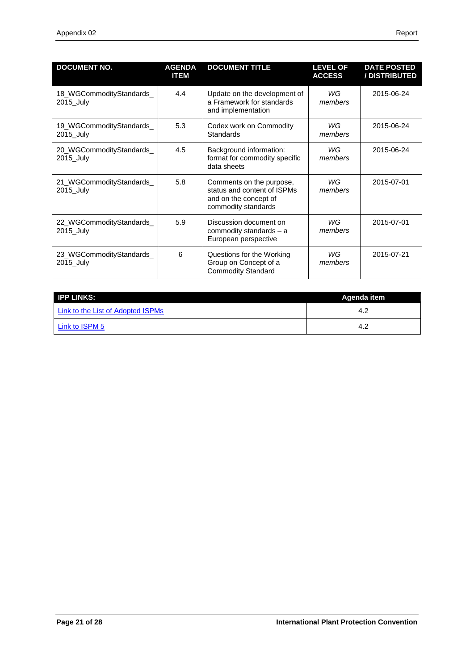| <b>DOCUMENT NO.</b>                   | <b>AGENDA</b><br><b>ITEM</b> | <b>DOCUMENT TITLE</b>                                                                                   | <b>LEVEL OF</b><br><b>ACCESS</b> | <b>DATE POSTED</b><br>/ DISTRIBUTED |
|---------------------------------------|------------------------------|---------------------------------------------------------------------------------------------------------|----------------------------------|-------------------------------------|
| 18_WGCommodityStandards_<br>2015_July | 4.4                          | Update on the development of<br>a Framework for standards<br>and implementation                         | WG<br>members                    | 2015-06-24                          |
| 19_WGCommodityStandards_<br>2015 July | 5.3                          | Codex work on Commodity<br><b>Standards</b>                                                             | WG<br>members                    | 2015-06-24                          |
| 20_WGCommodityStandards_<br>2015_July | 4.5                          | Background information:<br>format for commodity specific<br>data sheets                                 | WG<br>members                    | 2015-06-24                          |
| 21_WGCommodityStandards_<br>2015_July | 5.8                          | Comments on the purpose,<br>status and content of ISPMs<br>and on the concept of<br>commodity standards | WG<br>members                    | 2015-07-01                          |
| 22_WGCommodityStandards_<br>2015 July | 5.9                          | Discussion document on<br>commodity standards - a<br>European perspective                               | WG<br>members                    | 2015-07-01                          |
| 23_WGCommodityStandards_<br>2015_July | 6                            | Questions for the Working<br>Group on Concept of a<br><b>Commodity Standard</b>                         | WG<br>members                    | 2015-07-21                          |

| <b>IPP LINKS:</b>                 | Agenda item |  |
|-----------------------------------|-------------|--|
| Link to the List of Adopted ISPMs | 4.2         |  |
| Link to ISPM 5                    |             |  |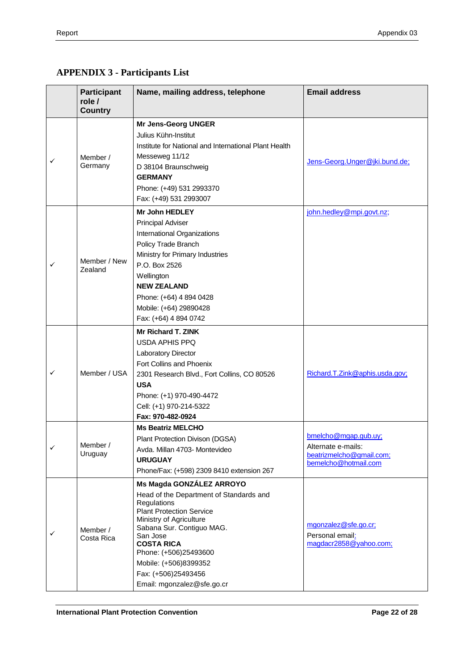# **APPENDIX 3 - Participants List**

|                          | <b>Participant</b><br>role /<br><b>Country</b>                                                                                                                                                                                                                                                                                                  | Name, mailing address, telephone                                                                                                                                                                                                                                       | <b>Email address</b>                                                                           |
|--------------------------|-------------------------------------------------------------------------------------------------------------------------------------------------------------------------------------------------------------------------------------------------------------------------------------------------------------------------------------------------|------------------------------------------------------------------------------------------------------------------------------------------------------------------------------------------------------------------------------------------------------------------------|------------------------------------------------------------------------------------------------|
|                          |                                                                                                                                                                                                                                                                                                                                                 | <b>Mr Jens-Georg UNGER</b>                                                                                                                                                                                                                                             |                                                                                                |
|                          | Member /<br>Germany                                                                                                                                                                                                                                                                                                                             | Julius Kühn-Institut<br>Institute for National and International Plant Health<br>Messeweg 11/12<br>D 38104 Braunschweig<br><b>GERMANY</b><br>Phone: (+49) 531 2993370                                                                                                  | Jens-Georg. Unger@jki.bund.de;                                                                 |
|                          |                                                                                                                                                                                                                                                                                                                                                 | Fax: (+49) 531 2993007                                                                                                                                                                                                                                                 |                                                                                                |
| ✓                        | Member / New<br>Zealand                                                                                                                                                                                                                                                                                                                         | Mr John HEDLEY<br><b>Principal Adviser</b><br>International Organizations<br>Policy Trade Branch<br>Ministry for Primary Industries<br>P.O. Box 2526<br>Wellington<br><b>NEW ZEALAND</b><br>Phone: (+64) 4 894 0428<br>Mobile: (+64) 29890428<br>Fax: (+64) 4 894 0742 | john.hedley@mpi.govt.nz;                                                                       |
| ✓                        | Member / USA                                                                                                                                                                                                                                                                                                                                    | <b>Mr Richard T. ZINK</b><br><b>USDA APHIS PPQ</b><br>Laboratory Director<br>Fort Collins and Phoenix<br>2301 Research Blvd., Fort Collins, CO 80526<br><b>USA</b><br>Phone: (+1) 970-490-4472<br>Cell: (+1) 970-214-5322<br>Fax: 970-482-0924                         | Richard.T.Zink@aphis.usda.gov;                                                                 |
| Member /<br>✓<br>Uruguay |                                                                                                                                                                                                                                                                                                                                                 | <b>Ms Beatriz MELCHO</b><br>Plant Protection Divison (DGSA)<br>Avda. Millan 4703- Montevideo<br><b>URUGUAY</b><br>Phone/Fax: (+598) 2309 8410 extension 267                                                                                                            | bmelcho@mgap.gub.uy;<br>Alternate e-mails:<br>beatrizmelcho@gmail.com;<br>bemelcho@hotmail.com |
| ✓                        | Ms Magda GONZÁLEZ ARROYO<br>Head of the Department of Standards and<br>Regulations<br><b>Plant Protection Service</b><br>Ministry of Agriculture<br>Sabana Sur. Contiguo MAG.<br>Member /<br>San Jose<br>Costa Rica<br><b>COSTA RICA</b><br>Phone: (+506)25493600<br>Mobile: (+506)8399352<br>Fax: (+506)25493456<br>Email: mgonzalez@sfe.go.cr |                                                                                                                                                                                                                                                                        | mgonzalez@sfe.go.cr;<br>Personal email:<br>magdacr2858@yahoo.com;                              |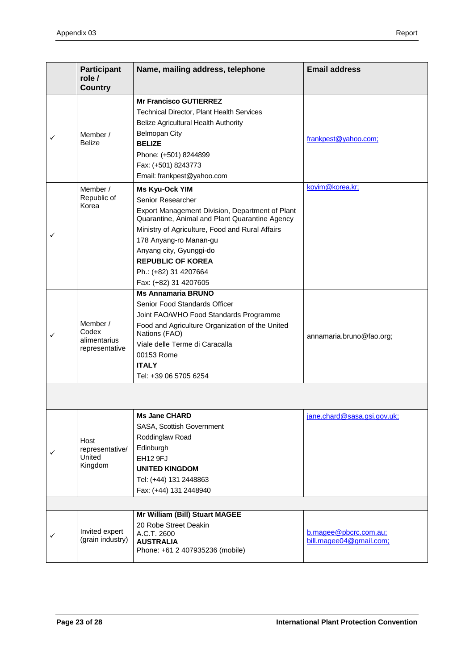|   | <b>Participant</b><br>role /<br><b>Country</b> | Name, mailing address, telephone                    | <b>Email address</b>        |
|---|------------------------------------------------|-----------------------------------------------------|-----------------------------|
|   |                                                | <b>Mr Francisco GUTIERREZ</b>                       |                             |
|   |                                                | Technical Director, Plant Health Services           |                             |
|   |                                                | Belize Agricultural Health Authority                |                             |
| ✓ | Member /                                       | <b>Belmopan City</b>                                |                             |
|   | <b>Belize</b>                                  | <b>BELIZE</b>                                       | frankpest@yahoo.com;        |
|   |                                                | Phone: (+501) 8244899                               |                             |
|   |                                                | Fax: (+501) 8243773                                 |                             |
|   |                                                | Email: frankpest@yahoo.com                          |                             |
|   | Member /                                       | Ms Kyu-Ock YIM                                      | koyim@korea.kr;             |
|   | Republic of<br>Korea                           | Senior Researcher                                   |                             |
|   |                                                | Export Management Division, Department of Plant     |                             |
|   |                                                | Quarantine, Animal and Plant Quarantine Agency      |                             |
| ✓ |                                                | Ministry of Agriculture, Food and Rural Affairs     |                             |
|   |                                                | 178 Anyang-ro Manan-gu                              |                             |
|   |                                                | Anyang city, Gyunggi-do<br><b>REPUBLIC OF KOREA</b> |                             |
|   |                                                | Ph.: (+82) 31 4207664                               |                             |
|   |                                                | Fax: (+82) 31 4207605                               |                             |
|   |                                                | <b>Ms Annamaria BRUNO</b>                           |                             |
|   |                                                | Senior Food Standards Officer                       |                             |
|   | Member /                                       | Joint FAO/WHO Food Standards Programme              |                             |
|   |                                                | Food and Agriculture Organization of the United     |                             |
| ✓ | Codex<br>alimentarius                          | Nations (FAO)                                       | annamaria.bruno@fao.org;    |
|   | representative                                 | Viale delle Terme di Caracalla                      |                             |
|   |                                                | 00153 Rome                                          |                             |
|   |                                                | <b>ITALY</b>                                        |                             |
|   |                                                | Tel: +39 06 5705 6254                               |                             |
|   |                                                |                                                     |                             |
|   |                                                | <b>Ms Jane CHARD</b>                                | iane.chard@sasa.gsi.gov.uk: |
|   | Host<br>representative/                        | SASA, Scottish Government                           |                             |
|   |                                                | Roddinglaw Road                                     |                             |
| ✓ |                                                | Edinburgh                                           |                             |
|   | United<br>Kingdom                              | EH12 9FJ                                            |                             |
|   |                                                | <b>UNITED KINGDOM</b>                               |                             |
|   |                                                | Tel: (+44) 131 2448863                              |                             |
|   |                                                | Fax: (+44) 131 2448940                              |                             |
|   |                                                |                                                     |                             |
|   |                                                | Mr William (Bill) Stuart MAGEE                      |                             |
|   | Invited expert<br>(grain industry)             | 20 Robe Street Deakin                               | b.magee@pbcrc.com.au;       |
| ✓ |                                                | A.C.T. 2600<br><b>AUSTRALIA</b>                     | bill.magee04@gmail.com;     |
|   |                                                | Phone: +61 2 407935236 (mobile)                     |                             |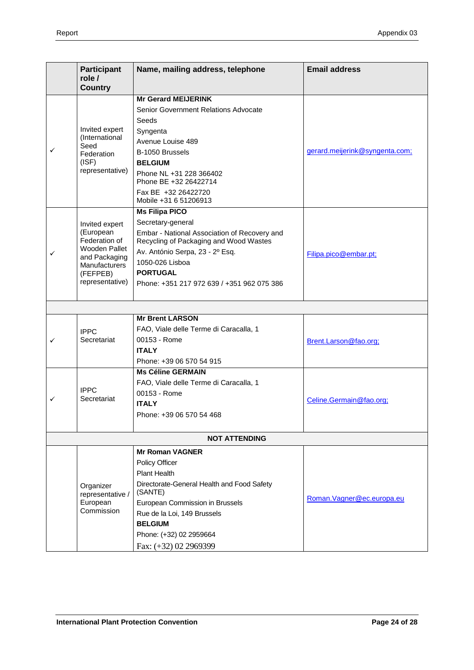| <b>Participant</b><br>role / |                                            | Name, mailing address, telephone                                                       | <b>Email address</b>           |  |
|------------------------------|--------------------------------------------|----------------------------------------------------------------------------------------|--------------------------------|--|
| <b>Country</b>               |                                            |                                                                                        |                                |  |
|                              |                                            | <b>Mr Gerard MEIJERINK</b>                                                             |                                |  |
|                              |                                            | Senior Government Relations Advocate                                                   |                                |  |
|                              |                                            | Seeds                                                                                  |                                |  |
|                              | Invited expert<br>(International           | Syngenta                                                                               |                                |  |
|                              | Seed                                       | Avenue Louise 489                                                                      |                                |  |
| ✓                            | Federation                                 | B-1050 Brussels                                                                        | gerard.meijerink@syngenta.com; |  |
|                              | (ISF)<br>representative)                   | <b>BELGIUM</b>                                                                         |                                |  |
|                              |                                            | Phone NL +31 228 366402<br>Phone BE +32 26422714                                       |                                |  |
|                              |                                            | Fax BE +32 26422720<br>Mobile +31 6 51206913                                           |                                |  |
|                              |                                            | <b>Ms Filipa PICO</b>                                                                  |                                |  |
|                              | Invited expert                             | Secretary-general                                                                      |                                |  |
|                              | (European<br>Federation of                 | Embar - National Association of Recovery and<br>Recycling of Packaging and Wood Wastes |                                |  |
| ✓                            | <b>Wooden Pallet</b><br>and Packaging      | Av. António Serpa, 23 - 2º Esq.                                                        | Filipa.pico@embar.pt;          |  |
|                              | Manufacturers                              | 1050-026 Lisboa                                                                        |                                |  |
|                              | (FEFPEB)                                   | <b>PORTUGAL</b>                                                                        |                                |  |
|                              | representative)                            | Phone: +351 217 972 639 / +351 962 075 386                                             |                                |  |
|                              |                                            |                                                                                        |                                |  |
|                              |                                            |                                                                                        |                                |  |
|                              |                                            | <b>Mr Brent LARSON</b>                                                                 |                                |  |
|                              | <b>IPPC</b>                                | FAO, Viale delle Terme di Caracalla, 1                                                 |                                |  |
|                              | Secretariat                                | 00153 - Rome                                                                           | Brent.Larson@fao.org;          |  |
|                              |                                            | <b>ITALY</b>                                                                           |                                |  |
|                              |                                            | Phone: +39 06 570 54 915                                                               |                                |  |
|                              |                                            | <b>Ms Céline GERMAIN</b>                                                               |                                |  |
|                              | <b>IPPC</b>                                | FAO, Viale delle Terme di Caracalla, 1<br>00153 - Rome                                 |                                |  |
| ✓                            | Secretariat                                | <b>ITALY</b>                                                                           | Celine.Germain@fao.org;        |  |
|                              |                                            | Phone: +39 06 570 54 468                                                               |                                |  |
|                              |                                            |                                                                                        |                                |  |
|                              |                                            | <b>NOT ATTENDING</b>                                                                   |                                |  |
|                              |                                            | <b>Mr Roman VAGNER</b>                                                                 |                                |  |
|                              |                                            | Policy Officer                                                                         |                                |  |
|                              |                                            | <b>Plant Health</b>                                                                    |                                |  |
|                              | Organizer                                  | Directorate-General Health and Food Safety                                             |                                |  |
|                              | representative /<br>European<br>Commission | (SANTE)                                                                                | Roman. Vagner@ec.europa.eu     |  |
|                              |                                            | European Commission in Brussels                                                        |                                |  |
|                              |                                            | Rue de la Loi, 149 Brussels                                                            |                                |  |
|                              |                                            | <b>BELGIUM</b><br>Phone: (+32) 02 2959664                                              |                                |  |
|                              |                                            |                                                                                        |                                |  |
|                              |                                            | Fax: (+32) 02 2969399                                                                  |                                |  |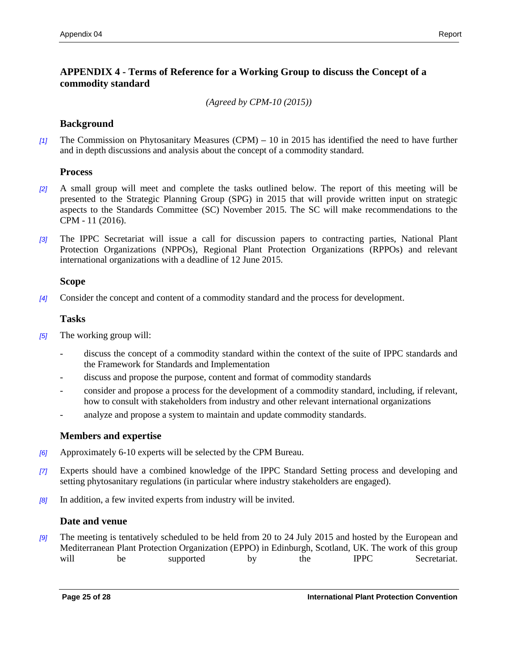## **APPENDIX 4 - Terms of Reference for a Working Group to discuss the Concept of a commodity standard**

*(Agreed by CPM-10 (2015))*

## **Background**

*[1]* The Commission on Phytosanitary Measures (CPM) **–** 10 in 2015 has identified the need to have further and in depth discussions and analysis about the concept of a commodity standard.

## **Process**

- *[2]* A small group will meet and complete the tasks outlined below. The report of this meeting will be presented to the Strategic Planning Group (SPG) in 2015 that will provide written input on strategic aspects to the Standards Committee (SC) November 2015. The SC will make recommendations to the CPM - 11 (2016).
- *[3]* The IPPC Secretariat will issue a call for discussion papers to contracting parties, National Plant Protection Organizations (NPPOs), Regional Plant Protection Organizations (RPPOs) and relevant international organizations with a deadline of 12 June 2015.

## **Scope**

*[4]* Consider the concept and content of a commodity standard and the process for development.

## **Tasks**

- *[5]* The working group will:
	- discuss the concept of a commodity standard within the context of the suite of IPPC standards and the Framework for Standards and Implementation
	- discuss and propose the purpose, content and format of commodity standards
	- consider and propose a process for the development of a commodity standard, including, if relevant, how to consult with stakeholders from industry and other relevant international organizations
	- analyze and propose a system to maintain and update commodity standards.

## **Members and expertise**

- *[6]* Approximately 6-10 experts will be selected by the CPM Bureau.
- *[7]* Experts should have a combined knowledge of the IPPC Standard Setting process and developing and setting phytosanitary regulations (in particular where industry stakeholders are engaged).
- *[8]* In addition, a few invited experts from industry will be invited.

## **Date and venue**

*[9]* The meeting is tentatively scheduled to be held from 20 to 24 July 2015 and hosted by the European and Mediterranean Plant Protection Organization (EPPO) in Edinburgh, Scotland, UK. The work of this group will be supported by the IPPC Secretariat.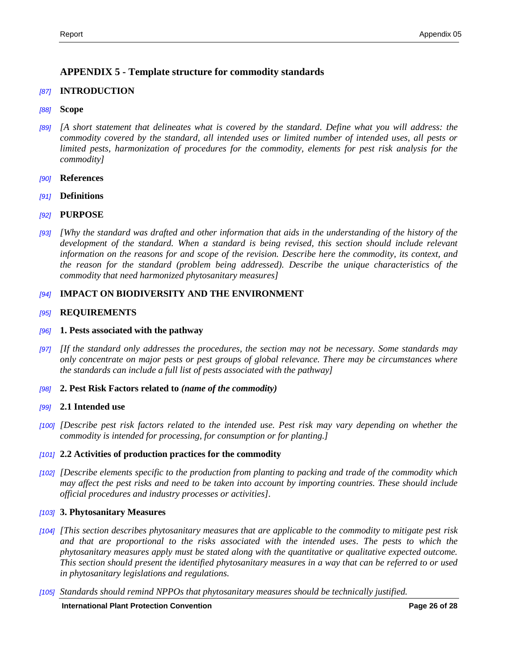## **APPENDIX 5 - Template structure for commodity standards**

### *[87]* **INTRODUCTION**

### *[88]* **Scope**

- *[89] [A short statement that delineates what is covered by the standard. Define what you will address: the commodity covered by the standard, all intended uses or limited number of intended uses, all pests or limited pests, harmonization of procedures for the commodity, elements for pest risk analysis for the commodity]*
- *[90]* **References**
- *[91]* **Definitions**
- *[92]* **PURPOSE**
- *[93] [Why the standard was drafted and other information that aids in the understanding of the history of the development of the standard. When a standard is being revised, this section should include relevant information on the reasons for and scope of the revision. Describe here the commodity, its context, and the reason for the standard (problem being addressed). Describe the unique characteristics of the commodity that need harmonized phytosanitary measures]*

### *[94]* **IMPACT ON BIODIVERSITY AND THE ENVIRONMENT**

#### *[95]* **REQUIREMENTS**

#### *[96]* **1. Pests associated with the pathway**

- *[97] [If the standard only addresses the procedures, the section may not be necessary. Some standards may only concentrate on major pests or pest groups of global relevance. There may be circumstances where the standards can include a full list of pests associated with the pathway]*
- *[98]* **2. Pest Risk Factors related to** *(name of the commodity)*

#### *[99]* **2.1 Intended use**

*[100] [Describe pest risk factors related to the intended use. Pest risk may vary depending on whether the commodity is intended for processing, for consumption or for planting.]*

#### *[101]* **2.2 Activities of production practices for the commodity**

*[102] [Describe elements specific to the production from planting to packing and trade of the commodity which may affect the pest risks and need to be taken into account by importing countries. These should include official procedures and industry processes or activities].*

#### *[103]* **3. Phytosanitary Measures**

- *[104] [This section describes phytosanitary measures that are applicable to the commodity to mitigate pest risk and that are proportional to the risks associated with the intended uses. The pests to which the phytosanitary measures apply must be stated along with the quantitative or qualitative expected outcome. This section should present the identified phytosanitary measures in a way that can be referred to or used in phytosanitary legislations and regulations.*
- *[105] Standards should remind NPPOs that phytosanitary measures should be technically justified.*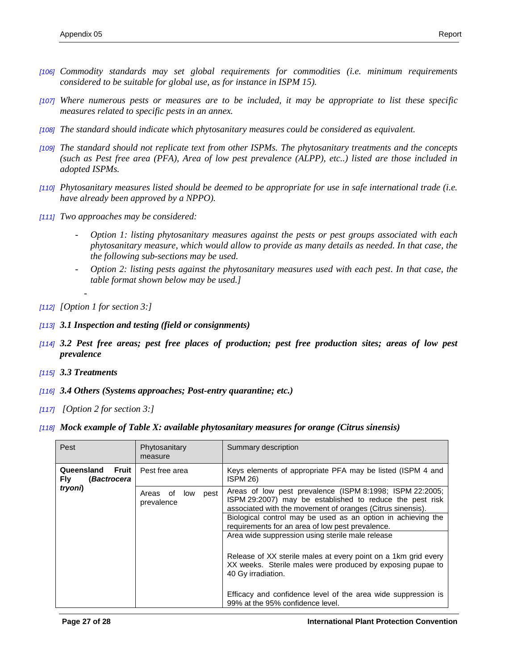- *[106] Commodity standards may set global requirements for commodities (i.e. minimum requirements considered to be suitable for global use, as for instance in ISPM 15).*
- *[107] Where numerous pests or measures are to be included, it may be appropriate to list these specific measures related to specific pests in an annex.*
- *[108] The standard should indicate which phytosanitary measures could be considered as equivalent.*
- *[109] The standard should not replicate text from other ISPMs. The phytosanitary treatments and the concepts (such as Pest free area (PFA), Area of low pest prevalence (ALPP), etc..) listed are those included in adopted ISPMs.*
- *[110] Phytosanitary measures listed should be deemed to be appropriate for use in safe international trade (i.e. have already been approved by a NPPO).*
- *[111] Two approaches may be considered:*
	- *Option 1: listing phytosanitary measures against the pests or pest groups associated with each phytosanitary measure, which would allow to provide as many details as needed. In that case, the the following sub-sections may be used.*
	- *Option 2: listing pests against the phytosanitary measures used with each pest. In that case, the table format shown below may be used.]*
- *[112] [Option 1 for section 3:]*

-

- *[113] 3.1 Inspection and testing (field or consignments)*
- *[114] 3.2 Pest free areas; pest free places of production; pest free production sites; areas of low pest prevalence*
- *[115] 3.3 Treatments*
- *[116] 3.4 Others (Systems approaches; Post-entry quarantine; etc.)*
- *[117] [Option 2 for section 3:]*
- *[118] Mock example of Table X: available phytosanitary measures for orange (Citrus sinensis)*

| Pest                                                     | Phytosanitary<br>measure              | Summary description                                                                                                                                                                |
|----------------------------------------------------------|---------------------------------------|------------------------------------------------------------------------------------------------------------------------------------------------------------------------------------|
| Queensland<br>Fruit<br><b>Fly</b><br><i>(Bactrocera)</i> | Pest free area                        | Keys elements of appropriate PFA may be listed (ISPM 4 and<br>ISPM 26)                                                                                                             |
| tryoni)                                                  | Areas of<br>low<br>pest<br>prevalence | Areas of low pest prevalence (ISPM 8:1998; ISPM 22:2005;<br>ISPM 29:2007) may be established to reduce the pest risk<br>associated with the movement of oranges (Citrus sinensis). |
|                                                          |                                       | Biological control may be used as an option in achieving the<br>requirements for an area of low pest prevalence.                                                                   |
|                                                          |                                       | Area wide suppression using sterile male release                                                                                                                                   |
|                                                          |                                       | Release of XX sterile males at every point on a 1km grid every<br>XX weeks. Sterile males were produced by exposing pupae to<br>40 Gy irradiation.                                 |
|                                                          |                                       | Efficacy and confidence level of the area wide suppression is<br>99% at the 95% confidence level.                                                                                  |